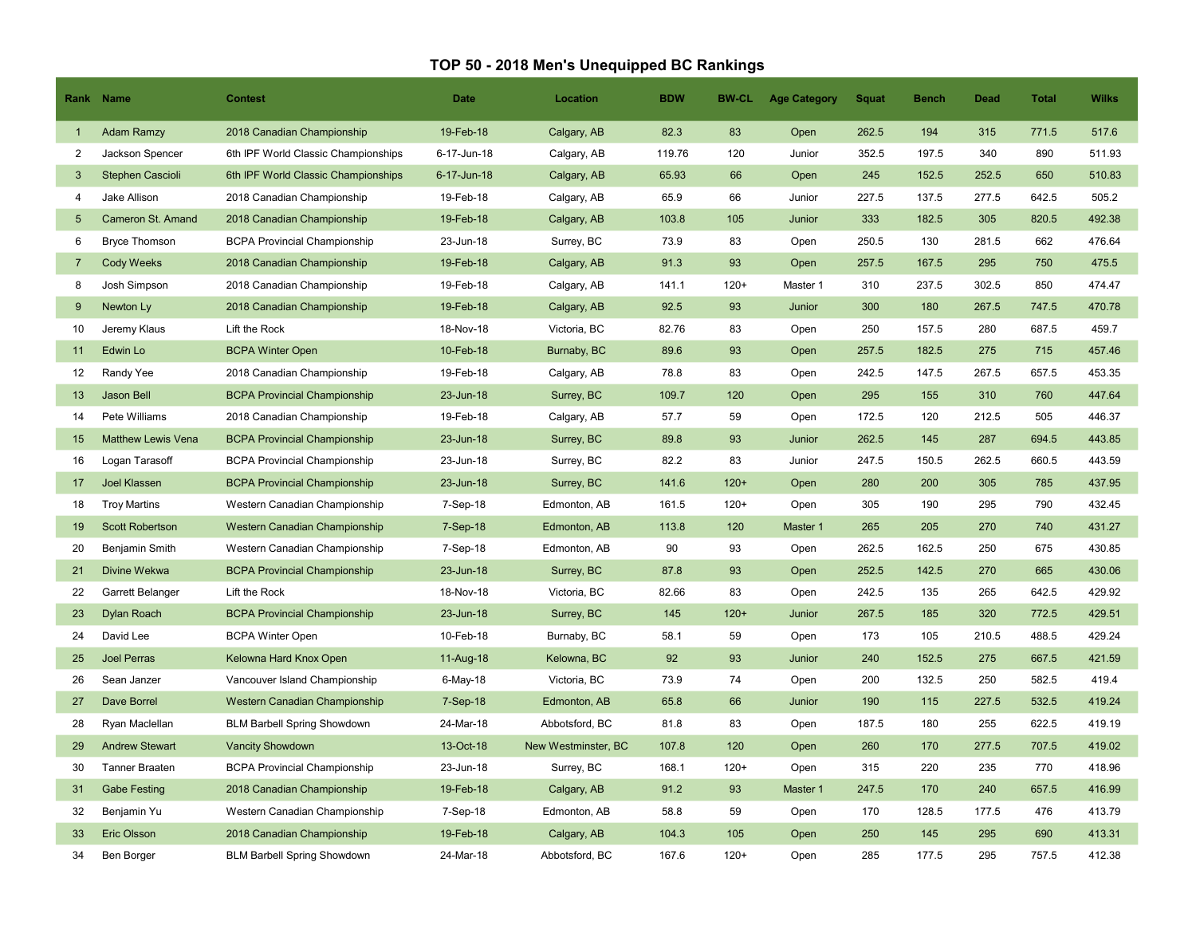## TOP 50 - 2018 Men's Unequipped BC Rankings

|                 | Rank Name                 | <b>Contest</b>                      | <b>Date</b> | Location            | <b>BDW</b> | <b>BW-CL</b> | <b>Age Category</b> | <b>Squat</b> | Bench | Dead  | <b>Total</b> | <b>Wilks</b> |
|-----------------|---------------------------|-------------------------------------|-------------|---------------------|------------|--------------|---------------------|--------------|-------|-------|--------------|--------------|
| $\mathbf{1}$    | <b>Adam Ramzy</b>         | 2018 Canadian Championship          | 19-Feb-18   | Calgary, AB         | 82.3       | 83           | Open                | 262.5        | 194   | 315   | 771.5        | 517.6        |
| 2               | Jackson Spencer           | 6th IPF World Classic Championships | 6-17-Jun-18 | Calgary, AB         | 119.76     | 120          | Junior              | 352.5        | 197.5 | 340   | 890          | 511.93       |
| $\mathbf{3}$    | <b>Stephen Cascioli</b>   | 6th IPF World Classic Championships | 6-17-Jun-18 | Calgary, AB         | 65.93      | 66           | Open                | 245          | 152.5 | 252.5 | 650          | 510.83       |
| $\overline{4}$  | Jake Allison              | 2018 Canadian Championship          | 19-Feb-18   | Calgary, AB         | 65.9       | 66           | Junior              | 227.5        | 137.5 | 277.5 | 642.5        | 505.2        |
| $5\overline{5}$ | <b>Cameron St. Amand</b>  | 2018 Canadian Championship          | 19-Feb-18   | Calgary, AB         | 103.8      | 105          | Junior              | 333          | 182.5 | 305   | 820.5        | 492.38       |
| 6               | <b>Bryce Thomson</b>      | <b>BCPA Provincial Championship</b> | 23-Jun-18   | Surrey, BC          | 73.9       | 83           | Open                | 250.5        | 130   | 281.5 | 662          | 476.64       |
| $\overline{7}$  | <b>Cody Weeks</b>         | 2018 Canadian Championship          | 19-Feb-18   | Calgary, AB         | 91.3       | 93           | Open                | 257.5        | 167.5 | 295   | 750          | 475.5        |
| 8               | Josh Simpson              | 2018 Canadian Championship          | 19-Feb-18   | Calgary, AB         | 141.1      | $120+$       | Master 1            | 310          | 237.5 | 302.5 | 850          | 474.47       |
| 9               | Newton Ly                 | 2018 Canadian Championship          | 19-Feb-18   | Calgary, AB         | 92.5       | 93           | Junior              | 300          | 180   | 267.5 | 747.5        | 470.78       |
| 10              | Jeremy Klaus              | Lift the Rock                       | 18-Nov-18   | Victoria, BC        | 82.76      | 83           | Open                | 250          | 157.5 | 280   | 687.5        | 459.7        |
| 11              | Edwin Lo                  | <b>BCPA Winter Open</b>             | 10-Feb-18   | Burnaby, BC         | 89.6       | 93           | Open                | 257.5        | 182.5 | 275   | 715          | 457.46       |
| 12              | Randy Yee                 | 2018 Canadian Championship          | 19-Feb-18   | Calgary, AB         | 78.8       | 83           | Open                | 242.5        | 147.5 | 267.5 | 657.5        | 453.35       |
| 13              | Jason Bell                | <b>BCPA Provincial Championship</b> | 23-Jun-18   | Surrey, BC          | 109.7      | 120          | Open                | 295          | 155   | 310   | 760          | 447.64       |
| 14              | Pete Williams             | 2018 Canadian Championship          | 19-Feb-18   | Calgary, AB         | 57.7       | 59           | Open                | 172.5        | 120   | 212.5 | 505          | 446.37       |
| 15              | <b>Matthew Lewis Vena</b> | <b>BCPA Provincial Championship</b> | 23-Jun-18   | Surrey, BC          | 89.8       | 93           | Junior              | 262.5        | 145   | 287   | 694.5        | 443.85       |
| 16              | Logan Tarasoff            | <b>BCPA Provincial Championship</b> | 23-Jun-18   | Surrey, BC          | 82.2       | 83           | Junior              | 247.5        | 150.5 | 262.5 | 660.5        | 443.59       |
| 17              | <b>Joel Klassen</b>       | <b>BCPA Provincial Championship</b> | 23-Jun-18   | Surrey, BC          | 141.6      | $120+$       | Open                | 280          | 200   | 305   | 785          | 437.95       |
| 18              | <b>Troy Martins</b>       | Western Canadian Championship       | 7-Sep-18    | Edmonton, AB        | 161.5      | $120+$       | Open                | 305          | 190   | 295   | 790          | 432.45       |
| 19              | <b>Scott Robertson</b>    | Western Canadian Championship       | 7-Sep-18    | Edmonton, AB        | 113.8      | 120          | Master 1            | 265          | 205   | 270   | 740          | 431.27       |
| 20              | Benjamin Smith            | Western Canadian Championship       | 7-Sep-18    | Edmonton, AB        | 90         | 93           | Open                | 262.5        | 162.5 | 250   | 675          | 430.85       |
| 21              | Divine Wekwa              | <b>BCPA Provincial Championship</b> | 23-Jun-18   | Surrey, BC          | 87.8       | 93           | Open                | 252.5        | 142.5 | 270   | 665          | 430.06       |
| 22              | Garrett Belanger          | Lift the Rock                       | 18-Nov-18   | Victoria, BC        | 82.66      | 83           | Open                | 242.5        | 135   | 265   | 642.5        | 429.92       |
| 23              | Dylan Roach               | <b>BCPA Provincial Championship</b> | 23-Jun-18   | Surrey, BC          | 145        | $120+$       | Junior              | 267.5        | 185   | 320   | 772.5        | 429.51       |
| 24              | David Lee                 | <b>BCPA Winter Open</b>             | 10-Feb-18   | Burnaby, BC         | 58.1       | 59           | Open                | 173          | 105   | 210.5 | 488.5        | 429.24       |
| 25              | <b>Joel Perras</b>        | Kelowna Hard Knox Open              | 11-Aug-18   | Kelowna, BC         | 92         | 93           | Junior              | 240          | 152.5 | 275   | 667.5        | 421.59       |
| 26              | Sean Janzer               | Vancouver Island Championship       | 6-May-18    | Victoria, BC        | 73.9       | 74           | Open                | 200          | 132.5 | 250   | 582.5        | 419.4        |
| 27              | <b>Dave Borrel</b>        | Western Canadian Championship       | 7-Sep-18    | Edmonton, AB        | 65.8       | 66           | Junior              | 190          | 115   | 227.5 | 532.5        | 419.24       |
| 28              | Ryan Maclellan            | <b>BLM Barbell Spring Showdown</b>  | 24-Mar-18   | Abbotsford, BC      | 81.8       | 83           | Open                | 187.5        | 180   | 255   | 622.5        | 419.19       |
| 29              | <b>Andrew Stewart</b>     | <b>Vancity Showdown</b>             | 13-Oct-18   | New Westminster, BC | 107.8      | 120          | Open                | 260          | 170   | 277.5 | 707.5        | 419.02       |
| 30              | <b>Tanner Braaten</b>     | <b>BCPA Provincial Championship</b> | 23-Jun-18   | Surrey, BC          | 168.1      | $120+$       | Open                | 315          | 220   | 235   | 770          | 418.96       |
| 31              | <b>Gabe Festing</b>       | 2018 Canadian Championship          | 19-Feb-18   | Calgary, AB         | 91.2       | 93           | Master 1            | 247.5        | 170   | 240   | 657.5        | 416.99       |
| 32              | Benjamin Yu               | Western Canadian Championship       | 7-Sep-18    | Edmonton, AB        | 58.8       | 59           | Open                | 170          | 128.5 | 177.5 | 476          | 413.79       |
| 33              | <b>Eric Olsson</b>        | 2018 Canadian Championship          | 19-Feb-18   | Calgary, AB         | 104.3      | 105          | Open                | 250          | 145   | 295   | 690          | 413.31       |
| 34              | Ben Borger                | <b>BLM Barbell Spring Showdown</b>  | 24-Mar-18   | Abbotsford, BC      | 167.6      | $120+$       | Open                | 285          | 177.5 | 295   | 757.5        | 412.38       |